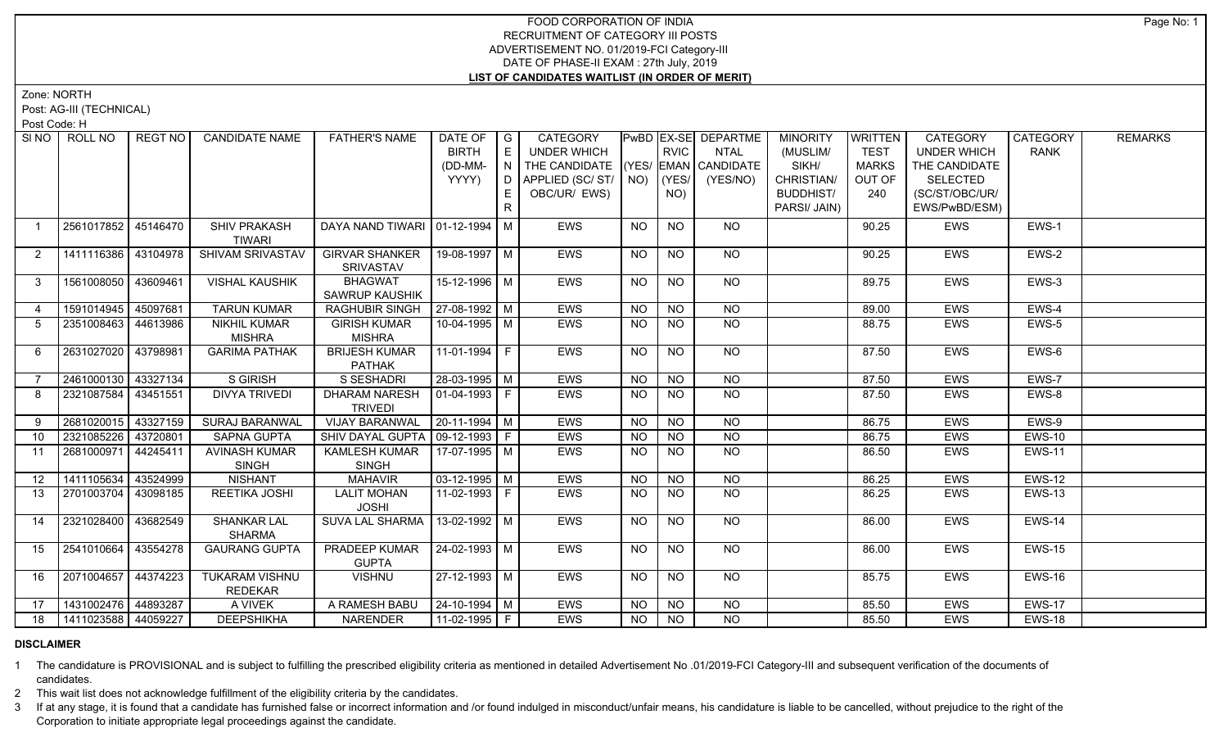Zone: NORTH

Post: AG-III (TECHNICAL)

Post Code: H

| SI <sub>NO</sub> | ROLL NO               | REGT NO  | <b>CANDIDATE NAME</b>                   | <b>FATHER'S NAME</b>                      | DATE OF<br><b>BIRTH</b><br>(DD-MM- | $\overline{\phantom{a}}$ G<br>E<br>N I | CATEGORY<br>UNDER WHICH<br>THE CANDIDATE (YES/ EMAN CANDIDATE |                 | <b>RVIC</b>    | PwBD EX-SE DEPARTME<br><b>NTAL</b> | <b>MINORITY</b><br>(MUSLIM/<br>SIKH/ | WRITTEN<br><b>TEST</b><br><b>MARKS</b> | CATEGORY<br><b>UNDER WHICH</b><br>THE CANDIDATE | CATEGORY<br><b>RANK</b> | <b>REMARKS</b> |
|------------------|-----------------------|----------|-----------------------------------------|-------------------------------------------|------------------------------------|----------------------------------------|---------------------------------------------------------------|-----------------|----------------|------------------------------------|--------------------------------------|----------------------------------------|-------------------------------------------------|-------------------------|----------------|
|                  |                       |          |                                         |                                           | YYYY)                              |                                        | $D$ $APPLIED (SC/ ST/$ $NO)$<br>OBC/UR/ EWS)                  |                 | (YES/<br>NO)   | (YES/NO)                           | CHRISTIAN/<br><b>BUDDHIST/</b>       | OUT OF<br>240                          | <b>SELECTED</b><br>(SC/ST/OBC/UR/               |                         |                |
|                  |                       |          |                                         |                                           |                                    | R.                                     |                                                               |                 |                |                                    | PARSI/ JAIN)                         |                                        | EWS/PwBD/ESM)                                   |                         |                |
|                  | 2561017852            | 45146470 | SHIV PRAKASH<br><b>TIWARI</b>           | DAYA NAND TIWARI   01-12-1994   M         |                                    |                                        | <b>EWS</b>                                                    | <b>NO</b>       | <b>NO</b>      | <b>NO</b>                          |                                      | 90.25                                  | EWS                                             | EWS-1                   |                |
| 2                | 1411116386 43104978   |          | SHIVAM SRIVASTAV                        | <b>GIRVAR SHANKER</b><br><b>SRIVASTAV</b> | 19-08-1997   M                     |                                        | EWS                                                           | <b>NO</b>       | <b>NO</b>      | NO                                 |                                      | 90.25                                  | EWS                                             | EWS-2                   |                |
| 3                | 1561008050 43609461   |          | <b>VISHAL KAUSHIK</b>                   | <b>BHAGWAT</b><br>SAWRUP KAUSHIK          | 15-12-1996 M                       |                                        | EWS                                                           | NO              | <b>NO</b>      | <b>NO</b>                          |                                      | 89.75                                  | EWS                                             | EWS-3                   |                |
| $\overline{4}$   | 1591014945            | 45097681 | <b>TARUN KUMAR</b>                      | <b>RAGHUBIR SINGH</b>                     | $ 27-08-1992 M$                    |                                        | <b>EWS</b>                                                    | $\overline{NO}$ | N <sub>O</sub> | N <sub>O</sub>                     |                                      | 89.00                                  | <b>EWS</b>                                      | EWS-4                   |                |
| 5                | 2351008463 44613986   |          | <b>NIKHIL KUMAR</b><br><b>MISHRA</b>    | <b>GIRISH KUMAR</b><br><b>MISHRA</b>      | 10-04-1995 M                       |                                        | <b>EWS</b>                                                    | <b>NO</b>       | <b>NO</b>      | <b>NO</b>                          |                                      | 88.75                                  | EWS                                             | EWS-5                   |                |
| 6                | 2631027020 43798981   |          | <b>GARIMA PATHAK</b>                    | <b>BRIJESH KUMAR</b><br><b>PATHAK</b>     | $11-01-1994$ F                     |                                        | <b>EWS</b>                                                    | NO              | <b>NO</b>      | NO                                 |                                      | 87.50                                  | EWS                                             | EWS-6                   |                |
| $\overline{7}$   | 2461000130            | 43327134 | S GIRISH                                | S SESHADRI                                | 28-03-1995 M                       |                                        | <b>EWS</b>                                                    | <b>NO</b>       | NO             | <b>NO</b>                          |                                      | 87.50                                  | EWS                                             | EWS-7                   |                |
| 8                | 2321087584            | 43451551 | <b>DIVYA TRIVEDI</b>                    | <b>DHARAM NARESH</b><br><b>TRIVEDI</b>    | 01-04-1993   F                     |                                        | <b>EWS</b>                                                    | NO.             | <b>NO</b>      | <b>NO</b>                          |                                      | 87.50                                  | <b>EWS</b>                                      | EWS-8                   |                |
| 9                | 2681020015 43327159   |          | SURAJ BARANWAL                          | <b>VIJAY BARANWAL</b>                     | $20-11-1994$ M                     |                                        | EWS                                                           | <b>NO</b>       | <b>NO</b>      | <b>NO</b>                          |                                      | 86.75                                  | EWS                                             | EWS-9                   |                |
| 10 <sup>°</sup>  | 2321085226 43720801   |          | <b>SAPNA GUPTA</b>                      | SHIV DAYAL GUPTA   09-12-1993   F         |                                    |                                        | EWS                                                           | <b>NO</b>       | <b>NO</b>      | <b>NO</b>                          |                                      | 86.75                                  | EWS                                             | <b>EWS-10</b>           |                |
| 11               | 2681000971            | 44245411 | <b>AVINASH KUMAR</b><br><b>SINGH</b>    | <b>KAMLESH KUMAR</b><br><b>SINGH</b>      | 17-07-1995   M                     |                                        | EWS                                                           | <b>NO</b>       | NO.            | <b>NO</b>                          |                                      | 86.50                                  | EWS                                             | <b>EWS-11</b>           |                |
| 12 <sup>2</sup>  | 1411105634            | 43524999 | <b>NISHANT</b>                          | <b>MAHAVIR</b>                            | $03-12-1995$ M                     |                                        | <b>EWS</b>                                                    | <b>NO</b>       | N <sub>O</sub> | N <sub>O</sub>                     |                                      | 86.25                                  | EWS                                             | <b>EWS-12</b>           |                |
| 13               | 2701003704 43098185   |          | REETIKA JOSHI                           | <b>LALIT MOHAN</b><br><b>JOSHI</b>        | 11-02-1993 F                       |                                        | <b>EWS</b>                                                    | NO.             | NO.            | <b>NO</b>                          |                                      | 86.25                                  | EWS                                             | <b>EWS-13</b>           |                |
| 14               | 2321028400 43682549   |          | SHANKAR LAL<br><b>SHARMA</b>            | SUVA LAL SHARMA   13-02-1992   M          |                                    |                                        | <b>EWS</b>                                                    | <b>NO</b>       | <b>NO</b>      | NO                                 |                                      | 86.00                                  | EWS                                             | EWS-14                  |                |
| 15               | 2541010664            | 43554278 | <b>GAURANG GUPTA</b>                    | PRADEEP KUMAR<br><b>GUPTA</b>             | 24-02-1993 M                       |                                        | <b>EWS</b>                                                    | NO              | NO             | NO                                 |                                      | 86.00                                  | <b>EWS</b>                                      | <b>EWS-15</b>           |                |
| 16               | 2071004657 44374223   |          | <b>TUKARAM VISHNU</b><br><b>REDEKAR</b> | <b>VISHNU</b>                             | 27-12-1993   M                     |                                        | <b>EWS</b>                                                    | <b>NO</b>       | NO             | NO.                                |                                      | 85.75                                  | <b>EWS</b>                                      | <b>EWS-16</b>           |                |
| 17               | 1431002476 44893287   |          | A VIVEK                                 | A RAMESH BABU                             | 24-10-1994 M                       |                                        | EWS                                                           | NO              | <b>NO</b>      | <b>NO</b>                          |                                      | 85.50                                  | EWS                                             | <b>EWS-17</b>           |                |
| 18               | 1411023588   44059227 |          | <b>DEEPSHIKHA</b>                       | <b>NARENDER</b>                           | 11-02-1995 F                       |                                        | <b>EWS</b>                                                    | <b>NO</b>       | NO             | <b>NO</b>                          |                                      | 85.50                                  | <b>EWS</b>                                      | EWS-18                  |                |

# **DISCLAIMER**

1 The candidature is PROVISIONAL and is subject to fulfilling the prescribed eligibility criteria as mentioned in detailed Advertisement No .01/2019-FCI Category-III and subsequent verification of the documents of candidates.

2 This wait list does not acknowledge fulfillment of the eligibility criteria by the candidates.

3 If at any stage, it is found that a candidate has furnished false or incorrect information and /or found indulged in misconduct/unfair means, his candidature is liable to be cancelled, without prejudice to the right of t Corporation to initiate appropriate legal proceedings against the candidate.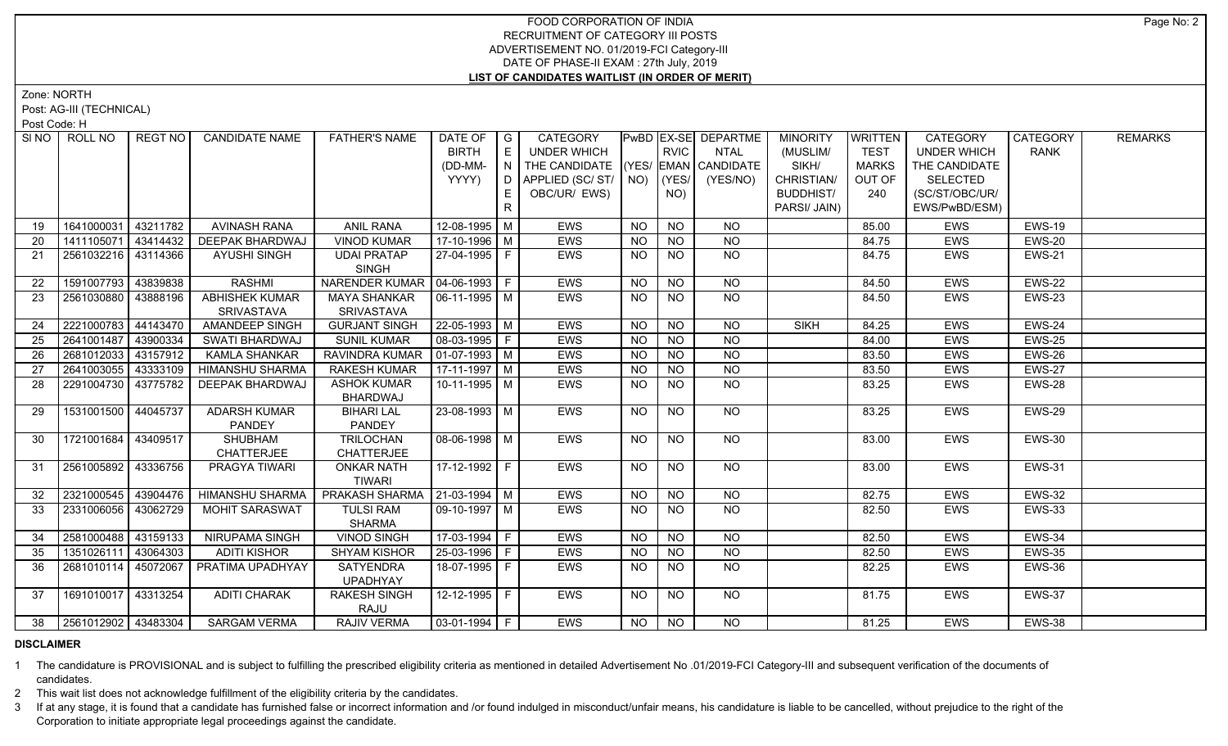Zone: NORTH

Post: AG-III (TECHNICAL)

Post Code: H

| E<br><b>RVIC</b><br><b>BIRTH</b><br>UNDER WHICH<br><b>TEST</b><br>NTAL<br>(MUSLIM/<br><b>UNDER WHICH</b><br>$\mid$ N $\mid$ THE CANDIDATE $\mid$ (YES/ EMAN $\mid$ CANDIDATE<br>SIKH/<br><b>MARKS</b><br>THE CANDIDATE<br>(DD-MM-<br>CHRISTIAN/<br>YYYY)<br>D   APPLIED (SC/ ST/   NO)<br>$ $ (YES/<br>(YES/NO)<br>OUT OF<br>SELECTED<br>OBC/UR/ EWS)<br><b>BUDDHIST/</b><br>(SC/ST/OBC/UR/<br>E<br>NO)<br>240<br>R<br>PARSI/ JAIN)<br>EWS/PwBD/ESM)<br>12-08-1995 M<br><b>NO</b><br>1641000031<br>43211782<br><b>AVINASH RANA</b><br><b>ANIL RANA</b><br><b>EWS</b><br><b>NO</b><br><b>NO</b><br>19<br>85.00<br><b>EWS</b><br>1411105071 43414432<br><b>DEEPAK BHARDWAJ</b><br>$17-10-1996$ M<br><b>VINOD KUMAR</b><br><b>NO</b><br><b>NO</b><br><b>NO</b><br>84.75<br>EWS<br>20<br><b>EWS</b><br>2561032216 43114366<br>27-04-1995 F<br>EWS<br><b>NO</b><br><b>NO</b><br><b>NO</b><br>EWS<br>21<br><b>AYUSHI SINGH</b><br><b>UDAI PRATAP</b><br>84.75<br><b>SINGH</b><br>1591007793<br>NARENDER KUMAR   04-06-1993   F<br>43839838<br><b>RASHMI</b><br><b>EWS</b><br><b>NO</b><br><b>NO</b><br><b>NO</b><br>84.50<br><b>EWS</b><br>22<br><b>ABHISHEK KUMAR</b><br><b>MAYA SHANKAR</b><br>2561030880 43888196<br>  06-11-1995   M<br><b>EWS</b><br><b>NO</b><br>EWS<br>NO. | <b>REMARKS</b><br>  CATEGORY |
|-----------------------------------------------------------------------------------------------------------------------------------------------------------------------------------------------------------------------------------------------------------------------------------------------------------------------------------------------------------------------------------------------------------------------------------------------------------------------------------------------------------------------------------------------------------------------------------------------------------------------------------------------------------------------------------------------------------------------------------------------------------------------------------------------------------------------------------------------------------------------------------------------------------------------------------------------------------------------------------------------------------------------------------------------------------------------------------------------------------------------------------------------------------------------------------------------------------------------------------------------------------------------------|------------------------------|
|                                                                                                                                                                                                                                                                                                                                                                                                                                                                                                                                                                                                                                                                                                                                                                                                                                                                                                                                                                                                                                                                                                                                                                                                                                                                             | <b>RANK</b>                  |
|                                                                                                                                                                                                                                                                                                                                                                                                                                                                                                                                                                                                                                                                                                                                                                                                                                                                                                                                                                                                                                                                                                                                                                                                                                                                             |                              |
|                                                                                                                                                                                                                                                                                                                                                                                                                                                                                                                                                                                                                                                                                                                                                                                                                                                                                                                                                                                                                                                                                                                                                                                                                                                                             |                              |
|                                                                                                                                                                                                                                                                                                                                                                                                                                                                                                                                                                                                                                                                                                                                                                                                                                                                                                                                                                                                                                                                                                                                                                                                                                                                             |                              |
|                                                                                                                                                                                                                                                                                                                                                                                                                                                                                                                                                                                                                                                                                                                                                                                                                                                                                                                                                                                                                                                                                                                                                                                                                                                                             |                              |
|                                                                                                                                                                                                                                                                                                                                                                                                                                                                                                                                                                                                                                                                                                                                                                                                                                                                                                                                                                                                                                                                                                                                                                                                                                                                             | <b>EWS-19</b>                |
|                                                                                                                                                                                                                                                                                                                                                                                                                                                                                                                                                                                                                                                                                                                                                                                                                                                                                                                                                                                                                                                                                                                                                                                                                                                                             | EWS-20                       |
|                                                                                                                                                                                                                                                                                                                                                                                                                                                                                                                                                                                                                                                                                                                                                                                                                                                                                                                                                                                                                                                                                                                                                                                                                                                                             | <b>EWS-21</b>                |
|                                                                                                                                                                                                                                                                                                                                                                                                                                                                                                                                                                                                                                                                                                                                                                                                                                                                                                                                                                                                                                                                                                                                                                                                                                                                             |                              |
|                                                                                                                                                                                                                                                                                                                                                                                                                                                                                                                                                                                                                                                                                                                                                                                                                                                                                                                                                                                                                                                                                                                                                                                                                                                                             | <b>EWS-22</b>                |
| <b>NO</b><br>84.50<br>23                                                                                                                                                                                                                                                                                                                                                                                                                                                                                                                                                                                                                                                                                                                                                                                                                                                                                                                                                                                                                                                                                                                                                                                                                                                    | <b>EWS-23</b>                |
| <b>SRIVASTAVA</b><br><b>SRIVASTAVA</b><br>2221000783<br>$\overline{NO}$<br>$S$ IKH                                                                                                                                                                                                                                                                                                                                                                                                                                                                                                                                                                                                                                                                                                                                                                                                                                                                                                                                                                                                                                                                                                                                                                                          | <b>EWS-24</b>                |
| $22 - 05 - 1993$ M<br>44143470<br><b>AMANDEEP SINGH</b><br><b>GURJANT SINGH</b><br><b>EWS</b><br>$\overline{NO}$<br>84.25<br><b>NO</b><br><b>EWS</b><br>24                                                                                                                                                                                                                                                                                                                                                                                                                                                                                                                                                                                                                                                                                                                                                                                                                                                                                                                                                                                                                                                                                                                  |                              |
| 2641001487<br>43900334<br><b>SUNIL KUMAR</b><br>  08-03-1995   F<br><b>NO</b><br>SWATI BHARDWAJ<br><b>EWS</b><br><b>NO</b><br><b>NO</b><br>84.00<br><b>EWS</b><br>25                                                                                                                                                                                                                                                                                                                                                                                                                                                                                                                                                                                                                                                                                                                                                                                                                                                                                                                                                                                                                                                                                                        | EWS-25                       |
| 2681012033<br>43157912<br>RAVINDRA KUMAR<br>$\vert$ 01-07-1993 $\vert$ M<br><b>EWS</b><br>$\overline{NO}$<br>$\overline{NQ}$<br><b>EWS</b><br>26<br><b>KAMLA SHANKAR</b><br><b>NO</b><br>83.50                                                                                                                                                                                                                                                                                                                                                                                                                                                                                                                                                                                                                                                                                                                                                                                                                                                                                                                                                                                                                                                                              | <b>EWS-26</b>                |
| 2641003055<br>43333109<br><b>HIMANSHU SHARMA</b><br>$17-11-1997$ M<br>$\overline{NO}$<br>27<br><b>RAKESH KUMAR</b><br>EWS<br><b>NO</b><br><b>NO</b><br>83.50<br>EWS                                                                                                                                                                                                                                                                                                                                                                                                                                                                                                                                                                                                                                                                                                                                                                                                                                                                                                                                                                                                                                                                                                         | <b>EWS-27</b>                |
| 2291004730 43775782<br><b>ASHOK KUMAR</b><br>  10-11-1995   M<br><b>EWS</b><br><b>NO</b><br>83.25<br>DEEPAK BHARDWAJ<br>NO.<br>NO.<br><b>EWS</b><br>28                                                                                                                                                                                                                                                                                                                                                                                                                                                                                                                                                                                                                                                                                                                                                                                                                                                                                                                                                                                                                                                                                                                      | EWS-28                       |
| BHARDWAJ                                                                                                                                                                                                                                                                                                                                                                                                                                                                                                                                                                                                                                                                                                                                                                                                                                                                                                                                                                                                                                                                                                                                                                                                                                                                    |                              |
| $23 - 08 - 1993$ M<br>1531001500 44045737<br><b>ADARSH KUMAR</b><br><b>BIHARI LAL</b><br><b>EWS</b><br><b>NO</b><br><b>NO</b><br>NO<br>83.25<br><b>EWS</b><br>29                                                                                                                                                                                                                                                                                                                                                                                                                                                                                                                                                                                                                                                                                                                                                                                                                                                                                                                                                                                                                                                                                                            | <b>EWS-29</b>                |
| <b>PANDEY</b><br>PANDEY                                                                                                                                                                                                                                                                                                                                                                                                                                                                                                                                                                                                                                                                                                                                                                                                                                                                                                                                                                                                                                                                                                                                                                                                                                                     |                              |
| 1721001684<br>43409517<br>SHUBHAM<br>TRILOCHAN<br>  08-06-1998   M<br><b>NO</b><br>30<br>EWS<br><b>NO</b><br><b>NO</b><br>83.00<br>EWS<br><b>CHATTERJEE</b><br><b>CHATTERJEE</b>                                                                                                                                                                                                                                                                                                                                                                                                                                                                                                                                                                                                                                                                                                                                                                                                                                                                                                                                                                                                                                                                                            | <b>EWS-30</b>                |
| 2561005892<br>43336756<br><b>PRAGYA TIWARI</b><br><b>ONKAR NATH</b><br><b>EWS</b><br>NO.<br>NO.<br>NO.<br>83.00<br><b>EWS</b><br>31                                                                                                                                                                                                                                                                                                                                                                                                                                                                                                                                                                                                                                                                                                                                                                                                                                                                                                                                                                                                                                                                                                                                         | <b>EWS-31</b>                |
| <b>TIWARI</b>                                                                                                                                                                                                                                                                                                                                                                                                                                                                                                                                                                                                                                                                                                                                                                                                                                                                                                                                                                                                                                                                                                                                                                                                                                                               |                              |
| <b>HIMANSHU SHARMA</b><br><b>PRAKASH SHARMA   21-03-1994   M</b><br>2321000545<br>43904476<br>EWS<br><b>NO</b><br><b>NO</b><br><b>NO</b><br>32<br>82.75<br><b>EWS</b>                                                                                                                                                                                                                                                                                                                                                                                                                                                                                                                                                                                                                                                                                                                                                                                                                                                                                                                                                                                                                                                                                                       | <b>EWS-32</b>                |
| 2331006056<br>43062729<br><b>MOHIT SARASWAT</b><br><b>TULSI RAM</b><br>  09-10-1997   M<br>EWS<br><b>NO</b><br>EWS<br>33<br><b>NO</b><br>NO.<br>82.50                                                                                                                                                                                                                                                                                                                                                                                                                                                                                                                                                                                                                                                                                                                                                                                                                                                                                                                                                                                                                                                                                                                       | <b>EWS-33</b>                |
| SHARMA                                                                                                                                                                                                                                                                                                                                                                                                                                                                                                                                                                                                                                                                                                                                                                                                                                                                                                                                                                                                                                                                                                                                                                                                                                                                      |                              |
| 2581000488 43159133<br>NIRUPAMA SINGH<br>$17-03-1994$ F<br><b>EWS</b><br><b>VINOD SINGH</b><br><b>NO</b><br><b>NO</b><br>NO<br>82.50<br><b>EWS</b><br>34                                                                                                                                                                                                                                                                                                                                                                                                                                                                                                                                                                                                                                                                                                                                                                                                                                                                                                                                                                                                                                                                                                                    | EWS-34                       |
| 1351026111 43064303<br><b>SHYAM KISHOR</b><br>$25 - 03 - 1996$ F<br>$\overline{NO}$<br><b>ADITI KISHOR</b><br>EWS<br><b>NO</b><br><b>NO</b><br>82.50<br>EWS<br>35                                                                                                                                                                                                                                                                                                                                                                                                                                                                                                                                                                                                                                                                                                                                                                                                                                                                                                                                                                                                                                                                                                           | <b>EWS-35</b>                |
| 2681010114 45072067<br>18-07-1995 F<br>EWS<br><b>NO</b><br><b>NO</b><br>NO<br>EWS<br>36<br>PRATIMA UPADHYAY<br>SATYENDRA<br>82.25                                                                                                                                                                                                                                                                                                                                                                                                                                                                                                                                                                                                                                                                                                                                                                                                                                                                                                                                                                                                                                                                                                                                           | EWS-36                       |
| <b>UPADHYAY</b>                                                                                                                                                                                                                                                                                                                                                                                                                                                                                                                                                                                                                                                                                                                                                                                                                                                                                                                                                                                                                                                                                                                                                                                                                                                             |                              |
| 1691010017 43313254<br><b>ADITI CHARAK</b><br><b>RAKESH SINGH</b><br>  12-12-1995   F<br>EWS<br>NO.<br>NO.<br>NO.<br>81.75<br>EWS<br>37                                                                                                                                                                                                                                                                                                                                                                                                                                                                                                                                                                                                                                                                                                                                                                                                                                                                                                                                                                                                                                                                                                                                     |                              |
| <b>RAJU</b>                                                                                                                                                                                                                                                                                                                                                                                                                                                                                                                                                                                                                                                                                                                                                                                                                                                                                                                                                                                                                                                                                                                                                                                                                                                                 |                              |
| 2561012902 43483304<br><b>SARGAM VERMA</b><br><b>RAJIV VERMA</b><br>$ 03-01-1994 F$<br><b>EWS</b><br>N <sub>O</sub><br>81.25<br><b>EWS</b><br>38<br>NO.<br><b>NO</b>                                                                                                                                                                                                                                                                                                                                                                                                                                                                                                                                                                                                                                                                                                                                                                                                                                                                                                                                                                                                                                                                                                        | EWS-37                       |

# **DISCLAIMER**

1 The candidature is PROVISIONAL and is subject to fulfilling the prescribed eligibility criteria as mentioned in detailed Advertisement No .01/2019-FCI Category-III and subsequent verification of the documents of candidates.

2 This wait list does not acknowledge fulfillment of the eligibility criteria by the candidates.

3 If at any stage, it is found that a candidate has furnished false or incorrect information and /or found indulged in misconduct/unfair means, his candidature is liable to be cancelled, without prejudice to the right of t Corporation to initiate appropriate legal proceedings against the candidate.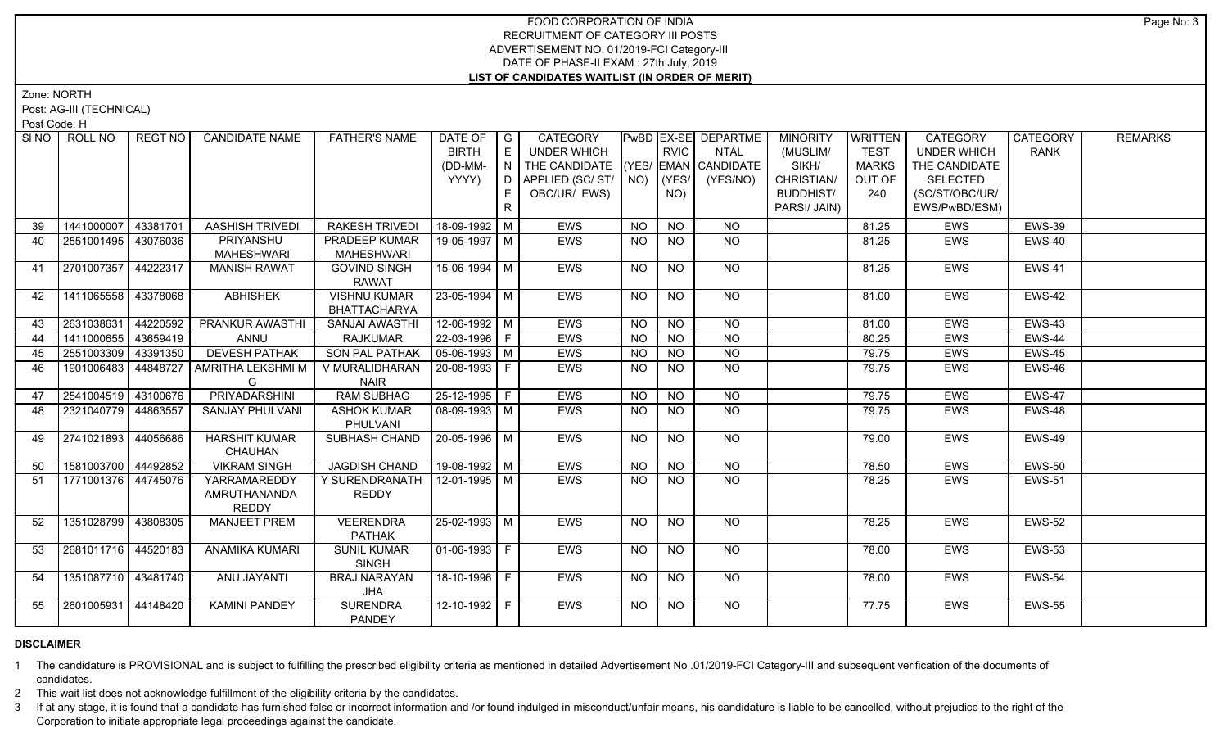Zone: NORTH

Post: AG-III (TECHNICAL)

Post Code: H

| SI NO | ROLL NO             | <b>REGT NO</b> | <b>CANDIDATE NAME</b>                        | <b>FATHER'S NAME</b>                | DATE OF $ G $<br><b>BIRTH</b><br>(DD-MM-<br>YYYY) | E<br>IN.<br>E.<br>R. | CATEGORY<br>UNDER WHICH<br>THE CANDIDATE (YES/ EMAN CANDIDATE<br>D   APPLIED (SC/ ST/   NO)<br>OBC/UR/ EWS) |           | <b>RVIC</b><br>(YES/<br>NO) | PwBD EX-SE DEPARTME<br><b>NTAL</b><br>(YES/NO) | <b>MINORITY</b><br>(MUSLIM/<br>SIKH/<br>CHRISTIAN/<br><b>BUDDHIST/</b><br>PARSI/ JAIN) | <b>WRITTEN</b><br><b>TEST</b><br><b>MARKS</b><br>OUT OF<br>240 | CATEGORY<br><b>UNDER WHICH</b><br>THE CANDIDATE<br><b>SELECTED</b><br>(SC/ST/OBC/UR/<br>EWS/PwBD/ESM) | CATEGORY<br><b>RANK</b> | <b>REMARKS</b> |
|-------|---------------------|----------------|----------------------------------------------|-------------------------------------|---------------------------------------------------|----------------------|-------------------------------------------------------------------------------------------------------------|-----------|-----------------------------|------------------------------------------------|----------------------------------------------------------------------------------------|----------------------------------------------------------------|-------------------------------------------------------------------------------------------------------|-------------------------|----------------|
| 39    | 1441000007          | 43381701       | <b>AASHISH TRIVEDI</b>                       | RAKESH TRIVEDI                      | 18-09-1992   M                                    |                      | <b>EWS</b>                                                                                                  | <b>NO</b> | <b>NO</b>                   | <b>NO</b>                                      |                                                                                        | 81.25                                                          | <b>EWS</b>                                                                                            | <b>EWS-39</b>           |                |
| 40    | 2551001495 43076036 |                | PRIYANSHU                                    | PRADEEP KUMAR                       | 19-05-1997 M                                      |                      | <b>EWS</b>                                                                                                  | <b>NO</b> | NO                          | NO                                             |                                                                                        | 81.25                                                          | EWS                                                                                                   | EWS-40                  |                |
|       |                     |                | <b>MAHESHWARI</b>                            | <b>MAHESHWARI</b>                   |                                                   |                      |                                                                                                             |           |                             |                                                |                                                                                        |                                                                |                                                                                                       |                         |                |
| 41    | 2701007357          | 44222317       | <b>MANISH RAWAT</b>                          | <b>GOVIND SINGH</b><br><b>RAWAT</b> | 15-06-1994 M                                      |                      | <b>EWS</b>                                                                                                  | <b>NO</b> | <b>NO</b>                   | <b>NO</b>                                      |                                                                                        | 81.25                                                          | <b>EWS</b>                                                                                            | <b>EWS-41</b>           |                |
| 42    | 1411065558 43378068 |                | <b>ABHISHEK</b>                              | <b>VISHNU KUMAR</b><br>BHATTACHARYA | 23-05-1994 M                                      |                      | EWS                                                                                                         | <b>NO</b> | <b>NO</b>                   | NO                                             |                                                                                        | 81.00                                                          | EWS                                                                                                   | EWS-42                  |                |
| 43    | 2631038631 44220592 |                | <b>PRANKUR AWASTHI</b>                       | SANJAI AWASTHI                      | $12-06-1992$ M                                    |                      | <b>EWS</b>                                                                                                  | <b>NO</b> | <b>NO</b>                   | N <sub>O</sub>                                 |                                                                                        | 81.00                                                          | <b>EWS</b>                                                                                            | <b>EWS-43</b>           |                |
| 44    | 1411000655          | 43659419       | ANNU                                         | <b>RAJKUMAR</b>                     | $22 - 03 - 1996$ F                                |                      | EWS                                                                                                         | <b>NO</b> | $\overline{NO}$             | N <sub>O</sub>                                 |                                                                                        | 80.25                                                          | EWS                                                                                                   | <b>EWS-44</b>           |                |
| 45    | 2551003309          | 43391350       | <b>DEVESH PATHAK</b>                         | <b>SON PAL PATHAK</b>               | $\vert 05 - 06 - 1993 \vert M \vert$              |                      | EWS                                                                                                         | <b>NO</b> | <b>NO</b>                   | $N$ O                                          |                                                                                        | 79.75                                                          | EWS                                                                                                   | EWS-45                  |                |
| 46    | 1901006483          | 44848727       | <b>AMRITHA LEKSHMI M</b>                     | V MURALIDHARAN                      | 20-08-1993 F                                      |                      | <b>EWS</b>                                                                                                  | NO.       | <b>NO</b>                   | NO                                             |                                                                                        | 79.75                                                          | EWS                                                                                                   | EWS-46                  |                |
|       |                     |                | G                                            | <b>NAIR</b>                         |                                                   |                      |                                                                                                             |           |                             |                                                |                                                                                        |                                                                |                                                                                                       |                         |                |
| 47    | 2541004519 43100676 |                | PRIYADARSHINI                                | <b>RAM SUBHAG</b>                   | $25-12-1995$ F                                    |                      | <b>EWS</b>                                                                                                  | <b>NO</b> | $N$ O                       | $N$ <sup>O</sup>                               |                                                                                        | 79.75                                                          | <b>EWS</b>                                                                                            | <b>EWS-47</b>           |                |
| 48    | 2321040779 44863557 |                | SANJAY PHULVANI                              | <b>ASHOK KUMAR</b><br>PHULVANI      | 08-09-1993   M                                    |                      | EWS                                                                                                         | <b>NO</b> | <b>NO</b>                   | <b>NO</b>                                      |                                                                                        | 79.75                                                          | EWS                                                                                                   | EWS-48                  |                |
| 49    | 2741021893          | 44056686       | <b>HARSHIT KUMAR</b><br><b>CHAUHAN</b>       | <b>SUBHASH CHAND</b>                | 20-05-1996 M                                      |                      | <b>EWS</b>                                                                                                  | NO.       | <b>NO</b>                   | NO                                             |                                                                                        | 79.00                                                          | <b>EWS</b>                                                                                            | <b>EWS-49</b>           |                |
| 50    | 1581003700 44492852 |                | <b>VIKRAM SINGH</b>                          | <b>JAGDISH CHAND</b>                | $19-08-1992$ M                                    |                      | EWS                                                                                                         | <b>NO</b> | <b>NO</b>                   | <b>NO</b>                                      |                                                                                        | 78.50                                                          | EWS                                                                                                   | <b>EWS-50</b>           |                |
| 51    | 1771001376 44745076 |                | YARRAMAREDDY<br>AMRUTHANANDA<br><b>REDDY</b> | Y SURENDRANATH<br><b>REDDY</b>      | $12 - 01 - 1995$ M                                |                      | EWS                                                                                                         | <b>NO</b> | <b>NO</b>                   | <b>NO</b>                                      |                                                                                        | 78.25                                                          | EWS                                                                                                   | <b>EWS-51</b>           |                |
| 52    | 1351028799 43808305 |                | <b>MANJEET PREM</b>                          | <b>VEERENDRA</b><br><b>PATHAK</b>   | $25 - 02 - 1993$ M                                |                      | EWS                                                                                                         | NO.       | NO                          | NO                                             |                                                                                        | 78.25                                                          | EWS                                                                                                   | <b>EWS-52</b>           |                |
| 53    | 2681011716 44520183 |                | <b>ANAMIKA KUMARI</b>                        | <b>SUNIL KUMAR</b><br><b>SINGH</b>  | $ 01-06-1993 F$                                   |                      | <b>EWS</b>                                                                                                  | NO        | <b>NO</b>                   | <b>NO</b>                                      |                                                                                        | 78.00                                                          | <b>EWS</b>                                                                                            | <b>EWS-53</b>           |                |
| 54    | 1351087710 43481740 |                | ANU JAYANTI                                  | <b>BRAJ NARAYAN</b><br>JHA          | 18-10-1996   F                                    |                      | <b>EWS</b>                                                                                                  | <b>NO</b> | <b>NO</b>                   | NO                                             |                                                                                        | 78.00                                                          | <b>EWS</b>                                                                                            | <b>EWS-54</b>           |                |
| 55    | 2601005931 44148420 |                | <b>KAMINI PANDEY</b>                         | <b>SURENDRA</b><br><b>PANDEY</b>    |                                                   |                      | <b>EWS</b>                                                                                                  | NO.       | NO.                         | NO.                                            |                                                                                        | 77.75                                                          | <b>EWS</b>                                                                                            | <b>EWS-55</b>           |                |

# **DISCLAIMER**

1 The candidature is PROVISIONAL and is subject to fulfilling the prescribed eligibility criteria as mentioned in detailed Advertisement No .01/2019-FCI Category-III and subsequent verification of the documents of candidates.

2 This wait list does not acknowledge fulfillment of the eligibility criteria by the candidates.

3 If at any stage, it is found that a candidate has furnished false or incorrect information and /or found indulged in misconduct/unfair means, his candidature is liable to be cancelled, without prejudice to the right of t Corporation to initiate appropriate legal proceedings against the candidate.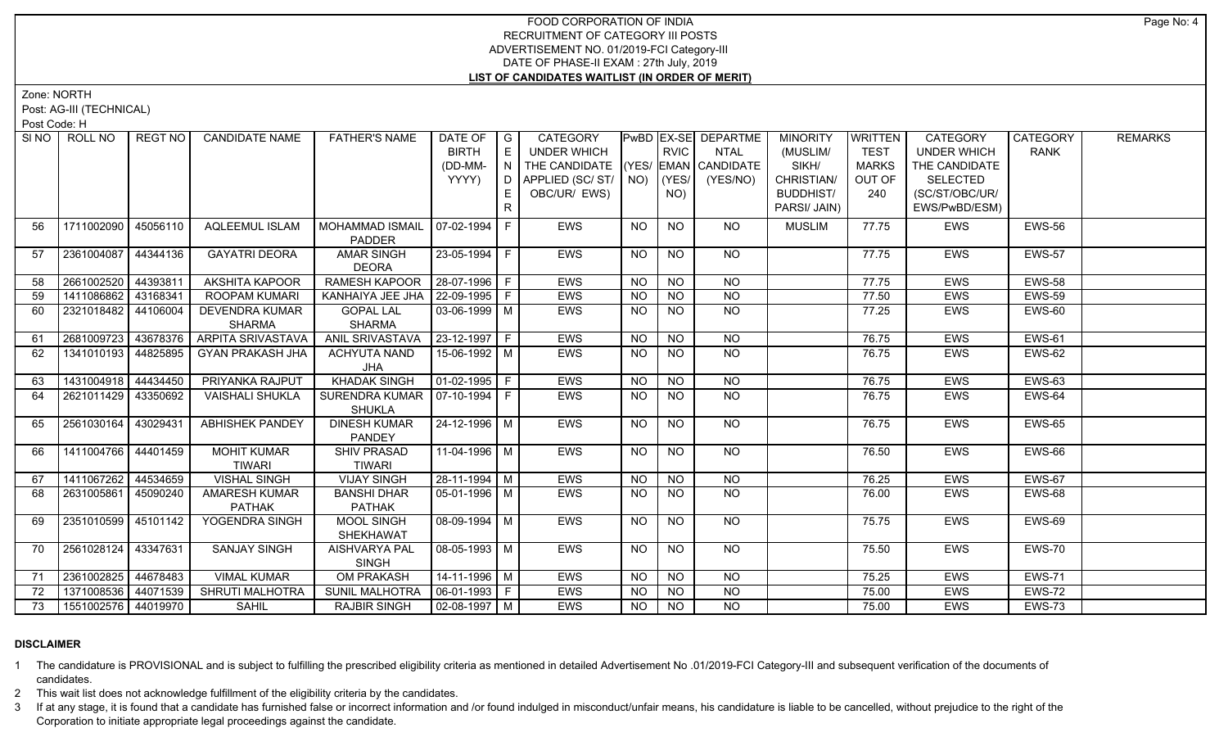Zone: NORTH

Post: AG-III (TECHNICAL)

Post Code: H

|    | SI NO<br>ROLL NO          | REGT NO  | <b>CANDIDATE NAME</b>    | <b>FATHER'S NAME</b>            | DATE OF G              |              | CATEGORY                           |                |                 | PwBD EX-SE DEPARTME | <b>MINORITY</b>  | <b>WRITTEN</b> | CATEGORY           | <b>CATEGORY</b> | <b>REMARKS</b> |
|----|---------------------------|----------|--------------------------|---------------------------------|------------------------|--------------|------------------------------------|----------------|-----------------|---------------------|------------------|----------------|--------------------|-----------------|----------------|
|    |                           |          |                          |                                 | <b>BIRTH</b>           | $\mathsf{E}$ | <b>UNDER WHICH</b>                 |                | <b>RVIC</b>     | <b>NTAL</b>         | (MUSLIM/         | <b>TEST</b>    | <b>UNDER WHICH</b> | <b>RANK</b>     |                |
|    |                           |          |                          |                                 | (DD-MM-                | N            | THE CANDIDATE (YES/ EMAN CANDIDATE |                |                 |                     | SIKH/            | <b>MARKS</b>   | THE CANDIDATE      |                 |                |
|    |                           |          |                          |                                 | YYYY)                  | D            | APPLIED (SC/ ST/   NO)   (YES/     |                |                 | (YES/NO)            | CHRISTIAN/       | OUT OF         | <b>SELECTED</b>    |                 |                |
|    |                           |          |                          |                                 |                        | E.           | OBC/UR/ EWS)                       |                | NO)             |                     | <b>BUDDHIST/</b> | 240            | (SC/ST/OBC/UR/     |                 |                |
|    |                           |          |                          |                                 |                        | $\mathsf{R}$ |                                    |                |                 |                     | PARSI/ JAIN)     |                | EWS/PwBD/ESM)      |                 |                |
|    | 56<br>1711002090          | 45056110 | <b>AQLEEMUL ISLAM</b>    | <b>MOHAMMAD ISMAIL</b>          | $07 - 02 - 1994$       | F            | <b>EWS</b>                         | NO             | <b>NO</b>       | <b>NO</b>           | <b>MUSLIM</b>    | 77.75          | <b>EWS</b>         | <b>EWS-56</b>   |                |
|    |                           |          |                          | PADDER                          |                        |              |                                    |                |                 |                     |                  |                |                    |                 |                |
|    | 2361004087<br>57          | 44344136 | <b>GAYATRI DEORA</b>     | <b>AMAR SINGH</b>               | 23-05-1994 F           |              | EWS                                | NO.            | <b>NO</b>       | <b>NO</b>           |                  | 77.75          | <b>EWS</b>         | <b>EWS-57</b>   |                |
|    |                           |          |                          | <b>DEORA</b>                    |                        |              |                                    |                |                 |                     |                  |                |                    |                 |                |
| 58 | 2661002520                | 44393811 | AKSHITA KAPOOR           | RAMESH KAPOOR                   | 28-07-1996 F           |              | EWS                                | <b>NO</b>      | <b>NO</b>       | <b>NO</b>           |                  | 77.75          | <b>EWS</b>         | <b>EWS-58</b>   |                |
|    | 1411086862 43168341<br>59 |          | ROOPAM KUMARI            | KANHAIYA JEE JHA                | 22-09-1995 F           |              | <b>EWS</b>                         | NO.            | $\overline{NO}$ | $\overline{NO}$     |                  | 77.50          | <b>EWS</b>         | <b>EWS-59</b>   |                |
|    | 2321018482 44106004<br>60 |          | <b>DEVENDRA KUMAR</b>    | <b>GOPAL LAL</b>                | $03-06-1999$ M         |              | EWS                                | <b>NO</b>      | <b>NO</b>       | $\overline{NQ}$     |                  | 77.25          | EWS                | <b>EWS-60</b>   |                |
|    |                           |          | <b>SHARMA</b>            | <b>SHARMA</b>                   |                        |              |                                    |                |                 |                     |                  |                |                    |                 |                |
| 61 | 2681009723 43678376       |          | <b>ARPITA SRIVASTAVA</b> | ANIL SRIVASTAVA                 | $ 23 - 12 - 1997 $ F   |              | <b>EWS</b>                         | <b>NO</b>      | <b>NO</b>       | N <sub>O</sub>      |                  | 76.75          | EWS                | <b>EWS-61</b>   |                |
|    | 62<br>1341010193 44825895 |          | <b>GYAN PRAKASH JHA</b>  | <b>ACHYUTA NAND</b>             | 15-06-1992 M           |              | EWS                                | N <sub>O</sub> | N <sub>O</sub>  | N <sub>O</sub>      |                  | 76.75          | <b>EWS</b>         | <b>EWS-62</b>   |                |
|    |                           |          |                          | JHA                             |                        |              |                                    |                |                 |                     |                  |                |                    |                 |                |
| 63 | 1431004918 44434450       |          | PRIYANKA RAJPUT          | <b>KHADAK SINGH</b>             | $\boxed{01-02-1995}$ F |              | <b>EWS</b>                         | <b>NO</b>      | N <sub>O</sub>  | N <sub>O</sub>      |                  | 76.75          | <b>EWS</b>         | <b>EWS-63</b>   |                |
| 64 | 2621011429 43350692       |          | <b>VAISHALI SHUKLA</b>   | SURENDRA KUMAR   07-10-1994   F |                        |              | EWS                                | NO.            | NO.             | <b>NO</b>           |                  | 76.75          | EWS                | EWS-64          |                |
|    |                           |          |                          | <b>SHUKLA</b>                   |                        |              |                                    |                |                 |                     |                  |                |                    |                 |                |
|    | 2561030164<br>65          | 43029431 | <b>ABHISHEK PANDEY</b>   | <b>DINESH KUMAR</b>             | 24-12-1996 M           |              | EWS                                | <b>NO</b>      | <b>NO</b>       | NO                  |                  | 76.75          | <b>EWS</b>         | <b>EWS-65</b>   |                |
|    |                           |          |                          | <b>PANDEY</b>                   |                        |              |                                    |                |                 |                     |                  |                |                    |                 |                |
|    | 1411004766 44401459<br>66 |          | <b>MOHIT KUMAR</b>       | <b>SHIV PRASAD</b>              | 11-04-1996 M           |              | <b>EWS</b>                         | <b>NO</b>      | <b>NO</b>       | <b>NO</b>           |                  | 76.50          | <b>EWS</b>         | <b>EWS-66</b>   |                |
|    |                           |          | <b>TIWARI</b>            | <b>TIWARI</b>                   |                        |              |                                    |                |                 |                     |                  |                |                    |                 |                |
|    | 1411067262 44534659<br>67 |          | <b>VISHAL SINGH</b>      | <b>VIJAY SINGH</b>              | 28-11-1994 M           |              | <b>EWS</b>                         | <b>NO</b>      | N <sub>O</sub>  | $\overline{NQ}$     |                  | 76.25          | <b>EWS</b>         | <b>EWS-67</b>   |                |
|    | 2631005861<br>68          | 45090240 | <b>AMARESH KUMAR</b>     | <b>BANSHI DHAR</b>              | $05-01-1996$ M         |              | EWS                                | NO.            | <b>NO</b>       | <b>NO</b>           |                  | 76.00          | EWS                | EWS-68          |                |
|    |                           |          | <b>PATHAK</b>            | PATHAK                          |                        |              |                                    |                |                 |                     |                  |                |                    |                 |                |
|    | 2351010599 45101142<br>69 |          | YOGENDRA SINGH           | MOOL SINGH                      | $08-09-1994$ M         |              | EWS                                | <b>NO</b>      | <b>NO</b>       | NO                  |                  | 75.75          | <b>EWS</b>         | EWS-69          |                |
|    |                           |          | <b>SANJAY SINGH</b>      | SHEKHAWAT                       | $08-05-1993$ M         |              |                                    |                |                 | $N$ O               |                  |                |                    |                 |                |
|    | 2561028124 43347631<br>70 |          |                          | AISHVARYA PAL<br><b>SINGH</b>   |                        |              | EWS                                | NO             | <b>NO</b>       |                     |                  | 75.50          | <b>EWS</b>         | <b>EWS-70</b>   |                |
| 71 | 2361002825 44678483       |          | <b>VIMAL KUMAR</b>       | <b>OM PRAKASH</b>               | 14-11-1996 M           |              | EWS                                | <b>NO</b>      | <b>NO</b>       | $N$ O               |                  | 75.25          | <b>EWS</b>         | <b>EWS-71</b>   |                |
|    | 1371008536 44071539<br>72 |          | SHRUTI MALHOTRA          | <b>SUNIL MALHOTRA</b>           | 06-01-1993 F           |              | EWS                                | <b>NO</b>      | <b>NO</b>       | $N$ O               |                  | 75.00          | EWS                | <b>EWS-72</b>   |                |
|    | 1551002576 44019970       |          | <b>SAHIL</b>             | <b>RAJBIR SINGH</b>             | $02-08-1997$ M         |              | <b>EWS</b>                         | <b>NO</b>      | NO              | $N$ O               |                  | 75.00          | <b>EWS</b>         | <b>EWS-73</b>   |                |
|    | 73                        |          |                          |                                 |                        |              |                                    |                |                 |                     |                  |                |                    |                 |                |

# **DISCLAIMER**

1 The candidature is PROVISIONAL and is subject to fulfilling the prescribed eligibility criteria as mentioned in detailed Advertisement No .01/2019-FCI Category-III and subsequent verification of the documents of candidates.

2 This wait list does not acknowledge fulfillment of the eligibility criteria by the candidates.

3 If at any stage, it is found that a candidate has furnished false or incorrect information and /or found indulged in misconduct/unfair means, his candidature is liable to be cancelled, without prejudice to the right of t Corporation to initiate appropriate legal proceedings against the candidate.